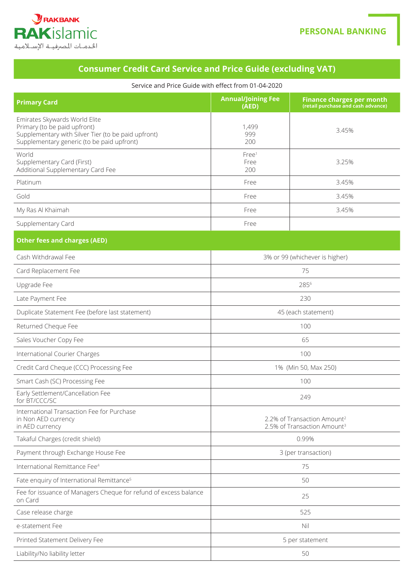

## **Consumer Credit Card Service and Price Guide (excluding VAT)**

## Service and Price Guide with effect from 01-04-2020

| <b>Primary Card</b>                                                                                                                                                | <b>Annual/Joining Fee</b><br>(AED)                                                 | <b>Finance charges per month</b><br>(retail purchase and cash advance) |
|--------------------------------------------------------------------------------------------------------------------------------------------------------------------|------------------------------------------------------------------------------------|------------------------------------------------------------------------|
| Emirates Skywards World Elite<br>Primary (to be paid upfront)<br>Supplementary with Silver Tier (to be paid upfront)<br>Supplementary generic (to be paid upfront) | 1,499<br>999<br>200                                                                | 3.45%                                                                  |
| World<br>Supplementary Card (First)<br>Additional Supplementary Card Fee                                                                                           | Free <sup>1</sup><br>Free<br>200                                                   | 3.25%                                                                  |
| Platinum                                                                                                                                                           | Free                                                                               | 3.45%                                                                  |
| Gold                                                                                                                                                               | Free                                                                               | 3.45%                                                                  |
| My Ras Al Khaimah                                                                                                                                                  | Free                                                                               | 3.45%                                                                  |
| Supplementary Card                                                                                                                                                 | Free                                                                               |                                                                        |
| <b>Other fees and charges (AED)</b>                                                                                                                                |                                                                                    |                                                                        |
| Cash Withdrawal Fee                                                                                                                                                | 3% or 99 (whichever is higher)                                                     |                                                                        |
| Card Replacement Fee                                                                                                                                               | 75                                                                                 |                                                                        |
| Upgrade Fee                                                                                                                                                        | 2856                                                                               |                                                                        |
| Late Payment Fee                                                                                                                                                   | 230                                                                                |                                                                        |
| Duplicate Statement Fee (before last statement)                                                                                                                    | 45 (each statement)                                                                |                                                                        |
| Returned Cheque Fee                                                                                                                                                | 100                                                                                |                                                                        |
| Sales Voucher Copy Fee                                                                                                                                             | 65                                                                                 |                                                                        |
| International Courier Charges                                                                                                                                      | 100                                                                                |                                                                        |
| Credit Card Cheque (CCC) Processing Fee                                                                                                                            | 1% (Min 50, Max 250)                                                               |                                                                        |
| Smart Cash (SC) Processing Fee                                                                                                                                     | 100                                                                                |                                                                        |
| Early Settlement/Cancellation Fee<br>for BT/CCC/SC                                                                                                                 | 249                                                                                |                                                                        |
| International Transaction Fee for Purchase<br>in Non AED currency<br>in AED currency                                                                               | 2.2% of Transaction Amount <sup>2</sup><br>2.5% of Transaction Amount <sup>3</sup> |                                                                        |
| Takaful Charges (credit shield)                                                                                                                                    | 0.99%                                                                              |                                                                        |
| Payment through Exchange House Fee                                                                                                                                 | 3 (per transaction)                                                                |                                                                        |
| International Remittance Fee <sup>4</sup>                                                                                                                          | 75                                                                                 |                                                                        |
| Fate enquiry of International Remittance <sup>5</sup>                                                                                                              | 50                                                                                 |                                                                        |
| Fee for issuance of Managers Cheque for refund of excess balance<br>on Card                                                                                        | 25                                                                                 |                                                                        |
| Case release charge                                                                                                                                                | 525                                                                                |                                                                        |
| e-statement Fee                                                                                                                                                    | Nil                                                                                |                                                                        |
| Printed Statement Delivery Fee                                                                                                                                     | 5 per statement                                                                    |                                                                        |
| Liability/No liability letter                                                                                                                                      | 50                                                                                 |                                                                        |